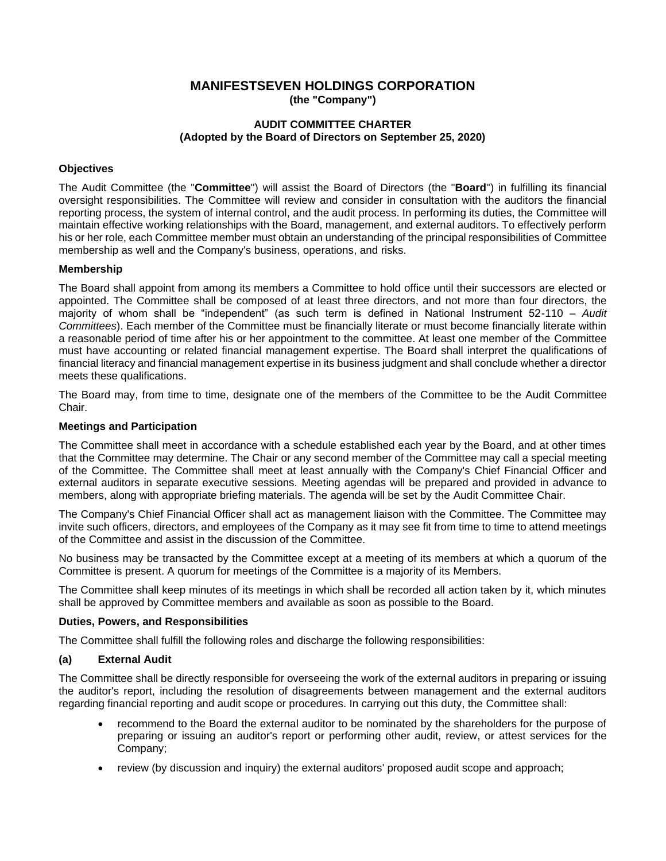# **MANIFESTSEVEN HOLDINGS CORPORATION (the "Company")**

# **AUDIT COMMITTEE CHARTER (Adopted by the Board of Directors on September 25, 2020)**

# **Objectives**

The Audit Committee (the "**Committee**") will assist the Board of Directors (the "**Board**") in fulfilling its financial oversight responsibilities. The Committee will review and consider in consultation with the auditors the financial reporting process, the system of internal control, and the audit process. In performing its duties, the Committee will maintain effective working relationships with the Board, management, and external auditors. To effectively perform his or her role, each Committee member must obtain an understanding of the principal responsibilities of Committee membership as well and the Company's business, operations, and risks.

### **Membership**

The Board shall appoint from among its members a Committee to hold office until their successors are elected or appointed. The Committee shall be composed of at least three directors, and not more than four directors, the majority of whom shall be "independent" (as such term is defined in National Instrument 52-110 – *Audit Committees*). Each member of the Committee must be financially literate or must become financially literate within a reasonable period of time after his or her appointment to the committee. At least one member of the Committee must have accounting or related financial management expertise. The Board shall interpret the qualifications of financial literacy and financial management expertise in its business judgment and shall conclude whether a director meets these qualifications.

The Board may, from time to time, designate one of the members of the Committee to be the Audit Committee Chair.

# **Meetings and Participation**

The Committee shall meet in accordance with a schedule established each year by the Board, and at other times that the Committee may determine. The Chair or any second member of the Committee may call a special meeting of the Committee. The Committee shall meet at least annually with the Company's Chief Financial Officer and external auditors in separate executive sessions. Meeting agendas will be prepared and provided in advance to members, along with appropriate briefing materials. The agenda will be set by the Audit Committee Chair.

The Company's Chief Financial Officer shall act as management liaison with the Committee. The Committee may invite such officers, directors, and employees of the Company as it may see fit from time to time to attend meetings of the Committee and assist in the discussion of the Committee.

No business may be transacted by the Committee except at a meeting of its members at which a quorum of the Committee is present. A quorum for meetings of the Committee is a majority of its Members.

The Committee shall keep minutes of its meetings in which shall be recorded all action taken by it, which minutes shall be approved by Committee members and available as soon as possible to the Board.

### **Duties, Powers, and Responsibilities**

The Committee shall fulfill the following roles and discharge the following responsibilities:

### **(a) External Audit**

The Committee shall be directly responsible for overseeing the work of the external auditors in preparing or issuing the auditor's report, including the resolution of disagreements between management and the external auditors regarding financial reporting and audit scope or procedures. In carrying out this duty, the Committee shall:

- recommend to the Board the external auditor to be nominated by the shareholders for the purpose of preparing or issuing an auditor's report or performing other audit, review, or attest services for the Company;
- review (by discussion and inquiry) the external auditors' proposed audit scope and approach;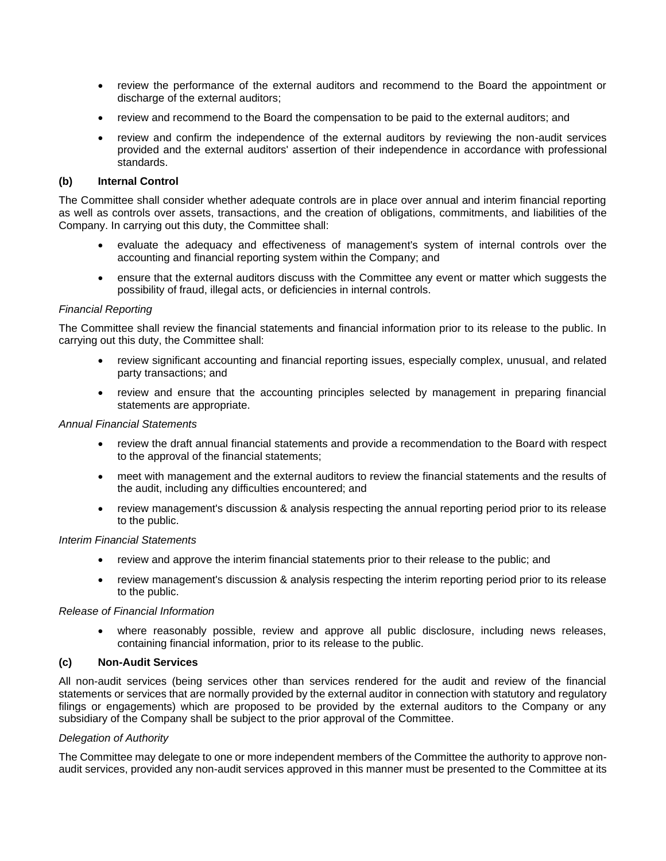- review the performance of the external auditors and recommend to the Board the appointment or discharge of the external auditors;
- review and recommend to the Board the compensation to be paid to the external auditors; and
- review and confirm the independence of the external auditors by reviewing the non-audit services provided and the external auditors' assertion of their independence in accordance with professional standards.

### **(b) Internal Control**

The Committee shall consider whether adequate controls are in place over annual and interim financial reporting as well as controls over assets, transactions, and the creation of obligations, commitments, and liabilities of the Company. In carrying out this duty, the Committee shall:

- evaluate the adequacy and effectiveness of management's system of internal controls over the accounting and financial reporting system within the Company; and
- ensure that the external auditors discuss with the Committee any event or matter which suggests the possibility of fraud, illegal acts, or deficiencies in internal controls.

#### *Financial Reporting*

The Committee shall review the financial statements and financial information prior to its release to the public. In carrying out this duty, the Committee shall:

- review significant accounting and financial reporting issues, especially complex, unusual, and related party transactions; and
- review and ensure that the accounting principles selected by management in preparing financial statements are appropriate.

# *Annual Financial Statements*

- review the draft annual financial statements and provide a recommendation to the Board with respect to the approval of the financial statements;
- meet with management and the external auditors to review the financial statements and the results of the audit, including any difficulties encountered; and
- review management's discussion & analysis respecting the annual reporting period prior to its release to the public.

#### *Interim Financial Statements*

- review and approve the interim financial statements prior to their release to the public; and
- review management's discussion & analysis respecting the interim reporting period prior to its release to the public.

#### *Release of Financial Information*

where reasonably possible, review and approve all public disclosure, including news releases, containing financial information, prior to its release to the public.

### **(c) Non-Audit Services**

All non-audit services (being services other than services rendered for the audit and review of the financial statements or services that are normally provided by the external auditor in connection with statutory and regulatory filings or engagements) which are proposed to be provided by the external auditors to the Company or any subsidiary of the Company shall be subject to the prior approval of the Committee.

### *Delegation of Authority*

The Committee may delegate to one or more independent members of the Committee the authority to approve nonaudit services, provided any non-audit services approved in this manner must be presented to the Committee at its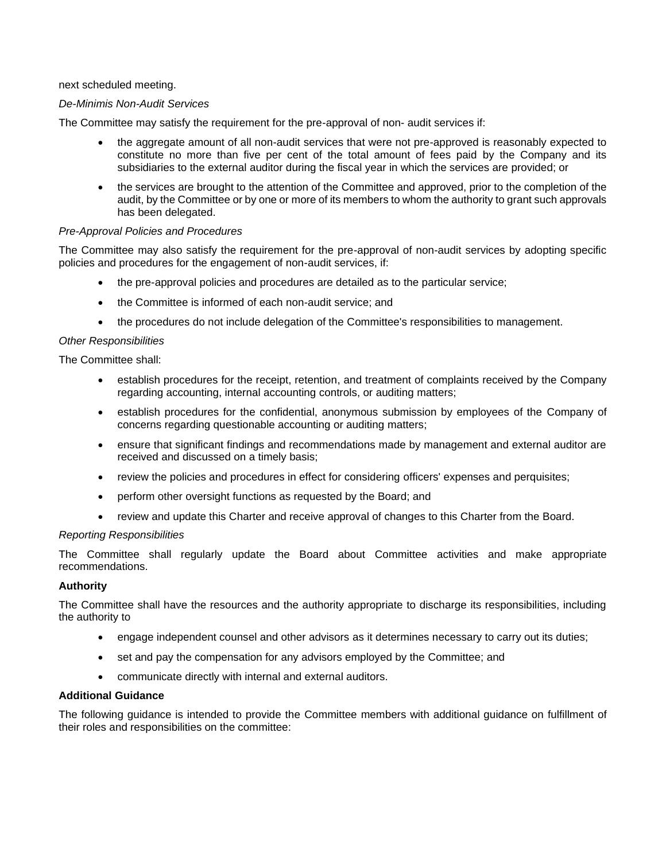next scheduled meeting.

### *De-Minimis Non-Audit Services*

The Committee may satisfy the requirement for the pre-approval of non- audit services if:

- the aggregate amount of all non-audit services that were not pre-approved is reasonably expected to constitute no more than five per cent of the total amount of fees paid by the Company and its subsidiaries to the external auditor during the fiscal year in which the services are provided; or
- the services are brought to the attention of the Committee and approved, prior to the completion of the audit, by the Committee or by one or more of its members to whom the authority to grant such approvals has been delegated.

#### *Pre-Approval Policies and Procedures*

The Committee may also satisfy the requirement for the pre-approval of non-audit services by adopting specific policies and procedures for the engagement of non-audit services, if:

- the pre-approval policies and procedures are detailed as to the particular service;
- the Committee is informed of each non-audit service; and
- the procedures do not include delegation of the Committee's responsibilities to management.

#### *Other Responsibilities*

The Committee shall:

- establish procedures for the receipt, retention, and treatment of complaints received by the Company regarding accounting, internal accounting controls, or auditing matters;
- establish procedures for the confidential, anonymous submission by employees of the Company of concerns regarding questionable accounting or auditing matters;
- ensure that significant findings and recommendations made by management and external auditor are received and discussed on a timely basis;
- review the policies and procedures in effect for considering officers' expenses and perquisites;
- perform other oversight functions as requested by the Board; and
- review and update this Charter and receive approval of changes to this Charter from the Board.

#### *Reporting Responsibilities*

The Committee shall regularly update the Board about Committee activities and make appropriate recommendations.

#### **Authority**

The Committee shall have the resources and the authority appropriate to discharge its responsibilities, including the authority to

- engage independent counsel and other advisors as it determines necessary to carry out its duties;
- set and pay the compensation for any advisors employed by the Committee; and
- communicate directly with internal and external auditors.

# **Additional Guidance**

The following guidance is intended to provide the Committee members with additional guidance on fulfillment of their roles and responsibilities on the committee: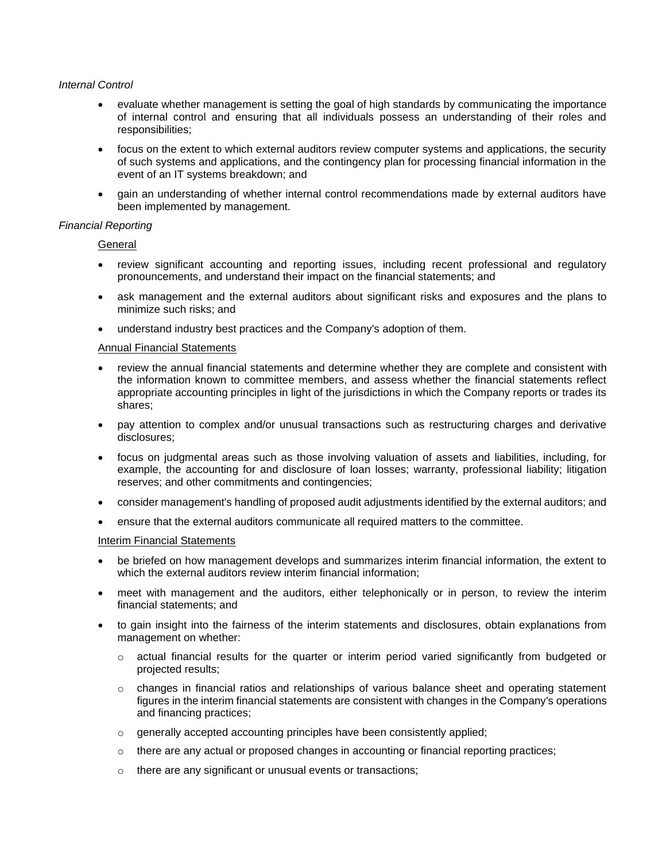#### *Internal Control*

- evaluate whether management is setting the goal of high standards by communicating the importance of internal control and ensuring that all individuals possess an understanding of their roles and responsibilities;
- focus on the extent to which external auditors review computer systems and applications, the security of such systems and applications, and the contingency plan for processing financial information in the event of an IT systems breakdown; and
- gain an understanding of whether internal control recommendations made by external auditors have been implemented by management.

### *Financial Reporting*

**General** 

- review significant accounting and reporting issues, including recent professional and regulatory pronouncements, and understand their impact on the financial statements; and
- ask management and the external auditors about significant risks and exposures and the plans to minimize such risks; and
- understand industry best practices and the Company's adoption of them.

#### Annual Financial Statements

- review the annual financial statements and determine whether they are complete and consistent with the information known to committee members, and assess whether the financial statements reflect appropriate accounting principles in light of the jurisdictions in which the Company reports or trades its shares;
- pay attention to complex and/or unusual transactions such as restructuring charges and derivative disclosures;
- focus on judgmental areas such as those involving valuation of assets and liabilities, including, for example, the accounting for and disclosure of loan losses; warranty, professional liability; litigation reserves; and other commitments and contingencies;
- consider management's handling of proposed audit adjustments identified by the external auditors; and
- ensure that the external auditors communicate all required matters to the committee.

#### Interim Financial Statements

- be briefed on how management develops and summarizes interim financial information, the extent to which the external auditors review interim financial information;
- meet with management and the auditors, either telephonically or in person, to review the interim financial statements; and
- to gain insight into the fairness of the interim statements and disclosures, obtain explanations from management on whether:
	- $\circ$  actual financial results for the quarter or interim period varied significantly from budgeted or projected results;
	- o changes in financial ratios and relationships of various balance sheet and operating statement figures in the interim financial statements are consistent with changes in the Company's operations and financing practices;
	- o generally accepted accounting principles have been consistently applied;
	- $\circ$  there are any actual or proposed changes in accounting or financial reporting practices;
	- o there are any significant or unusual events or transactions;